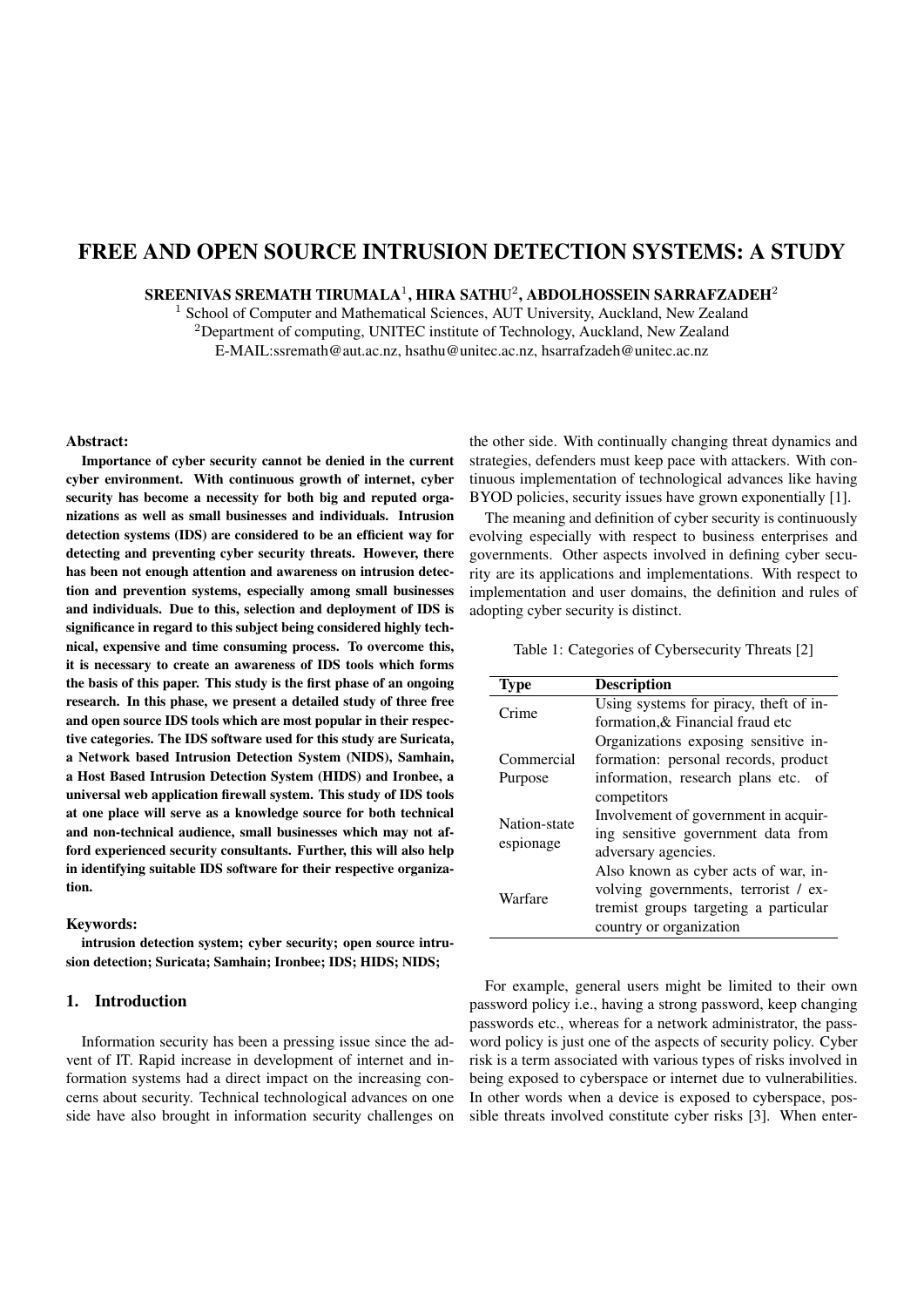# FREE AND OPEN SOURCE INTRUSION DETECTION SYSTEMS: A STUDY

SREENIVAS SREMATH TIRUMALA $^1,$  HIRA SATHU $^2,$  ABDOLHOSSEIN SARRAFZADEH $^2$ 

<sup>1</sup> School of Computer and Mathematical Sciences, AUT University, Auckland, New Zealand <sup>2</sup>Department of computing, UNITEC institute of Technology, Auckland, New Zealand E-MAIL:ssremath@aut.ac.nz, hsathu@unitec.ac.nz, hsarrafzadeh@unitec.ac.nz

# Abstract:

Importance of cyber security cannot be denied in the current cyber environment. With continuous growth of internet, cyber security has become a necessity for both big and reputed organizations as well as small businesses and individuals. Intrusion detection systems (IDS) are considered to be an efficient way for detecting and preventing cyber security threats. However, there has been not enough attention and awareness on intrusion detection and prevention systems, especially among small businesses and individuals. Due to this, selection and deployment of IDS is significance in regard to this subject being considered highly technical, expensive and time consuming process. To overcome this, it is necessary to create an awareness of IDS tools which forms the basis of this paper. This study is the first phase of an ongoing research. In this phase, we present a detailed study of three free and open source IDS tools which are most popular in their respective categories. The IDS software used for this study are Suricata, a Network based Intrusion Detection System (NIDS), Samhain, a Host Based Intrusion Detection System (HIDS) and Ironbee, a universal web application firewall system. This study of IDS tools at one place will serve as a knowledge source for both technical and non-technical audience, small businesses which may not afford experienced security consultants. Further, this will also help in identifying suitable IDS software for their respective organization.

# Keywords:

intrusion detection system; cyber security; open source intrusion detection; Suricata; Samhain; Ironbee; IDS; HIDS; NIDS;

#### 1. Introduction

Information security has been a pressing issue since the advent of IT. Rapid increase in development of internet and information systems had a direct impact on the increasing concerns about security. Technical technological advances on one side have also brought in information security challenges on the other side. With continually changing threat dynamics and strategies, defenders must keep pace with attackers. With continuous implementation of technological advances like having BYOD policies, security issues have grown exponentially [1].

The meaning and definition of cyber security is continuously evolving especially with respect to business enterprises and governments. Other aspects involved in defining cyber security are its applications and implementations. With respect to implementation and user domains, the definition and rules of adopting cyber security is distinct.

Table 1: Categories of Cybersecurity Threats [2]

| <b>Type</b>               | <b>Description</b>                      |  |  |  |  |
|---------------------------|-----------------------------------------|--|--|--|--|
| Crime                     | Using systems for piracy, theft of in-  |  |  |  |  |
|                           | formation, & Financial fraud etc        |  |  |  |  |
|                           | Organizations exposing sensitive in-    |  |  |  |  |
| Commercial                | formation: personal records, product    |  |  |  |  |
| Purpose                   | information, research plans etc.<br>-of |  |  |  |  |
|                           | competitors                             |  |  |  |  |
| Nation-state<br>espionage | Involvement of government in acquir-    |  |  |  |  |
|                           | ing sensitive government data from      |  |  |  |  |
|                           | adversary agencies.                     |  |  |  |  |
| Warfare                   | Also known as cyber acts of war, in-    |  |  |  |  |
|                           | volving governments, terrorist / ex-    |  |  |  |  |
|                           | tremist groups targeting a particular   |  |  |  |  |
|                           | country or organization                 |  |  |  |  |

For example, general users might be limited to their own password policy i.e., having a strong password, keep changing passwords etc., whereas for a network administrator, the password policy is just one of the aspects of security policy. Cyber risk is a term associated with various types of risks involved in being exposed to cyberspace or internet due to vulnerabilities. In other words when a device is exposed to cyberspace, possible threats involved constitute cyber risks [3]. When enter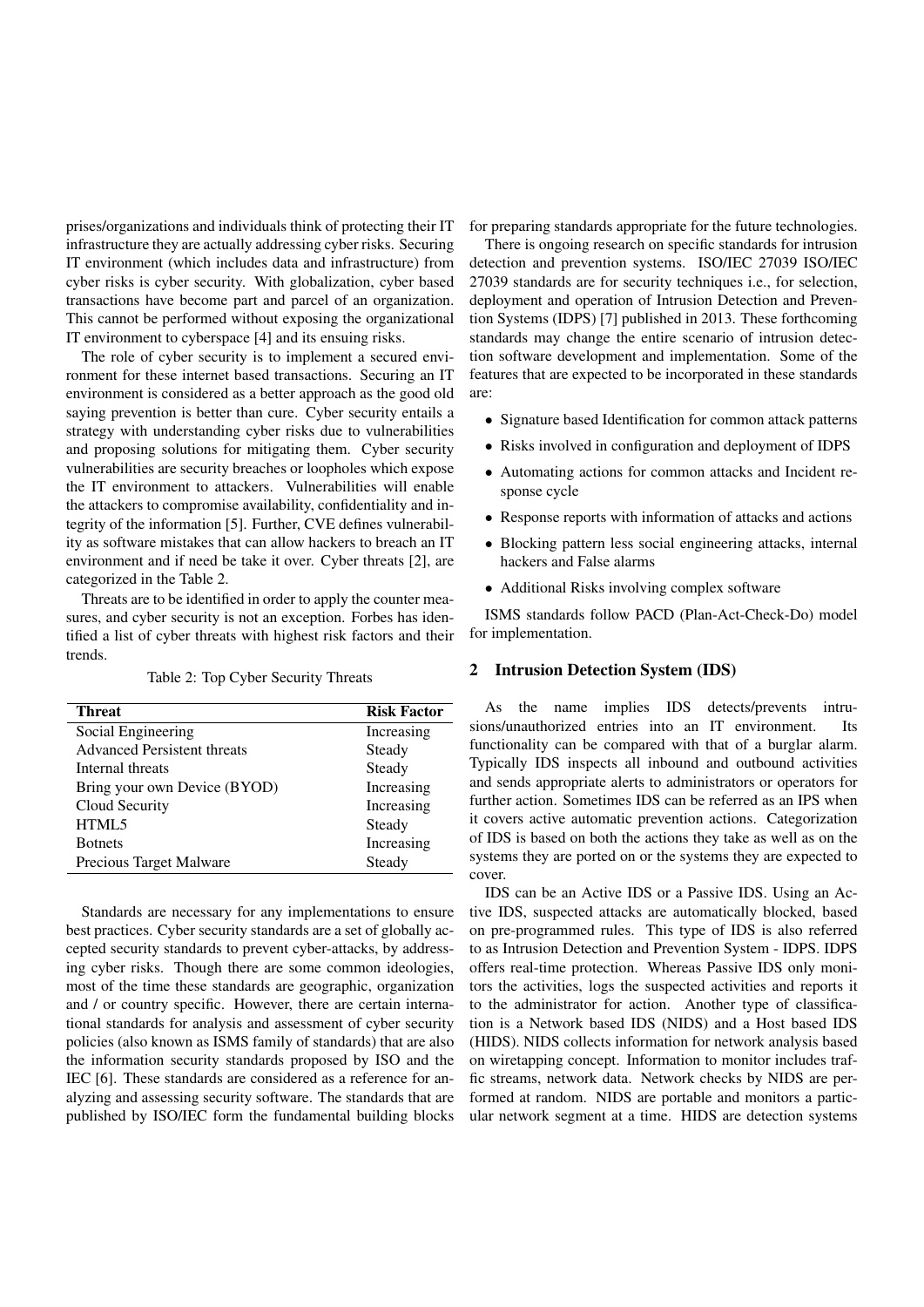prises/organizations and individuals think of protecting their IT infrastructure they are actually addressing cyber risks. Securing IT environment (which includes data and infrastructure) from cyber risks is cyber security. With globalization, cyber based transactions have become part and parcel of an organization. This cannot be performed without exposing the organizational IT environment to cyberspace [4] and its ensuing risks.

The role of cyber security is to implement a secured environment for these internet based transactions. Securing an IT environment is considered as a better approach as the good old saying prevention is better than cure. Cyber security entails a strategy with understanding cyber risks due to vulnerabilities and proposing solutions for mitigating them. Cyber security vulnerabilities are security breaches or loopholes which expose the IT environment to attackers. Vulnerabilities will enable the attackers to compromise availability, confidentiality and integrity of the information [5]. Further, CVE defines vulnerability as software mistakes that can allow hackers to breach an IT environment and if need be take it over. Cyber threats [2], are categorized in the Table 2.

Threats are to be identified in order to apply the counter measures, and cyber security is not an exception. Forbes has identified a list of cyber threats with highest risk factors and their trends.

Table 2: Top Cyber Security Threats

| Threat                             | <b>Risk Factor</b> |  |  |
|------------------------------------|--------------------|--|--|
| Social Engineering                 | Increasing         |  |  |
| <b>Advanced Persistent threats</b> | Steady             |  |  |
| Internal threats                   | Steady             |  |  |
| Bring your own Device (BYOD)       | Increasing         |  |  |
| Cloud Security                     | Increasing         |  |  |
| HTML5                              | Steady             |  |  |
| <b>Botnets</b>                     | Increasing         |  |  |
| Precious Target Malware            | Steady             |  |  |

Standards are necessary for any implementations to ensure best practices. Cyber security standards are a set of globally accepted security standards to prevent cyber-attacks, by addressing cyber risks. Though there are some common ideologies, most of the time these standards are geographic, organization and / or country specific. However, there are certain international standards for analysis and assessment of cyber security policies (also known as ISMS family of standards) that are also the information security standards proposed by ISO and the IEC [6]. These standards are considered as a reference for analyzing and assessing security software. The standards that are published by ISO/IEC form the fundamental building blocks

for preparing standards appropriate for the future technologies.

There is ongoing research on specific standards for intrusion detection and prevention systems. ISO/IEC 27039 ISO/IEC 27039 standards are for security techniques i.e., for selection, deployment and operation of Intrusion Detection and Prevention Systems (IDPS) [7] published in 2013. These forthcoming standards may change the entire scenario of intrusion detection software development and implementation. Some of the features that are expected to be incorporated in these standards are:

- *•* Signature based Identification for common attack patterns
- *•* Risks involved in configuration and deployment of IDPS
- *•* Automating actions for common attacks and Incident response cycle
- *•* Response reports with information of attacks and actions
- *•* Blocking pattern less social engineering attacks, internal hackers and False alarms
- Additional Risks involving complex software

ISMS standards follow PACD (Plan-Act-Check-Do) model for implementation.

# 2 Intrusion Detection System (IDS)

As the name implies IDS detects/prevents intrusions/unauthorized entries into an IT environment. Its functionality can be compared with that of a burglar alarm. Typically IDS inspects all inbound and outbound activities and sends appropriate alerts to administrators or operators for further action. Sometimes IDS can be referred as an IPS when it covers active automatic prevention actions. Categorization of IDS is based on both the actions they take as well as on the systems they are ported on or the systems they are expected to cover.

IDS can be an Active IDS or a Passive IDS. Using an Active IDS, suspected attacks are automatically blocked, based on pre-programmed rules. This type of IDS is also referred to as Intrusion Detection and Prevention System - IDPS. IDPS offers real-time protection. Whereas Passive IDS only monitors the activities, logs the suspected activities and reports it to the administrator for action. Another type of classification is a Network based IDS (NIDS) and a Host based IDS (HIDS). NIDS collects information for network analysis based on wiretapping concept. Information to monitor includes traffic streams, network data. Network checks by NIDS are performed at random. NIDS are portable and monitors a particular network segment at a time. HIDS are detection systems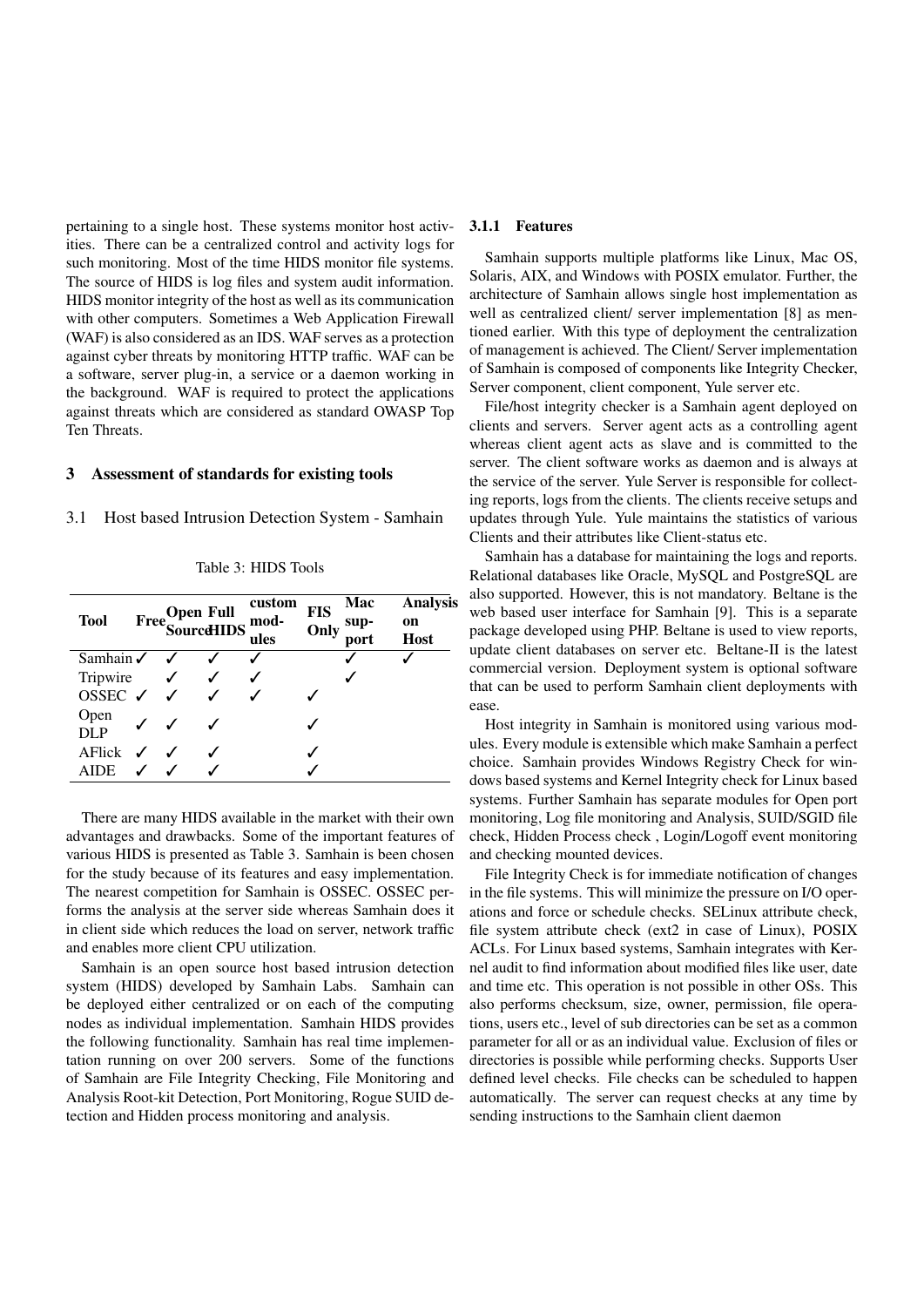pertaining to a single host. These systems monitor host activities. There can be a centralized control and activity logs for such monitoring. Most of the time HIDS monitor file systems. The source of HIDS is log files and system audit information. HIDS monitor integrity of the host as well as its communication with other computers. Sometimes a Web Application Firewall (WAF) is also considered as an IDS. WAF serves as a protection against cyber threats by monitoring HTTP traffic. WAF can be a software, server plug-in, a service or a daemon working in the background. WAF is required to protect the applications against threats which are considered as standard OWASP Top Ten Threats.

#### 3 Assessment of standards for existing tools

3.1 Host based Intrusion Detection System - Samhain

| <b>Tool</b>                     | Free SourceHIDS mod- | custom<br>ules | <b>FIS</b><br>Only | Mac<br>sup-<br>port | <b>Analysis</b><br>on<br><b>Host</b> |
|---------------------------------|----------------------|----------------|--------------------|---------------------|--------------------------------------|
| Samhain $\checkmark$            |                      |                |                    |                     |                                      |
| Tripwire                        | $\checkmark$         |                |                    |                     |                                      |
| OSSEC $\checkmark$ $\checkmark$ |                      |                |                    |                     |                                      |
| Open<br>DLP                     |                      |                |                    |                     |                                      |
| AFlick $\checkmark$             |                      |                |                    |                     |                                      |
| <b>AIDE</b>                     |                      |                |                    |                     |                                      |

Table 3: HIDS Tools

There are many HIDS available in the market with their own advantages and drawbacks. Some of the important features of various HIDS is presented as Table 3. Samhain is been chosen for the study because of its features and easy implementation. The nearest competition for Samhain is OSSEC. OSSEC performs the analysis at the server side whereas Samhain does it in client side which reduces the load on server, network traffic and enables more client CPU utilization.

Samhain is an open source host based intrusion detection system (HIDS) developed by Samhain Labs. Samhain can be deployed either centralized or on each of the computing nodes as individual implementation. Samhain HIDS provides the following functionality. Samhain has real time implementation running on over 200 servers. Some of the functions of Samhain are File Integrity Checking, File Monitoring and Analysis Root-kit Detection, Port Monitoring, Rogue SUID detection and Hidden process monitoring and analysis.

# 3.1.1 Features

Samhain supports multiple platforms like Linux, Mac OS, Solaris, AIX, and Windows with POSIX emulator. Further, the architecture of Samhain allows single host implementation as well as centralized client/ server implementation [8] as mentioned earlier. With this type of deployment the centralization of management is achieved. The Client/ Server implementation of Samhain is composed of components like Integrity Checker, Server component, client component, Yule server etc.

File/host integrity checker is a Samhain agent deployed on clients and servers. Server agent acts as a controlling agent whereas client agent acts as slave and is committed to the server. The client software works as daemon and is always at the service of the server. Yule Server is responsible for collecting reports, logs from the clients. The clients receive setups and updates through Yule. Yule maintains the statistics of various Clients and their attributes like Client-status etc.

Samhain has a database for maintaining the logs and reports. Relational databases like Oracle, MySQL and PostgreSQL are also supported. However, this is not mandatory. Beltane is the web based user interface for Samhain [9]. This is a separate package developed using PHP. Beltane is used to view reports, update client databases on server etc. Beltane-II is the latest commercial version. Deployment system is optional software that can be used to perform Samhain client deployments with ease.

Host integrity in Samhain is monitored using various modules. Every module is extensible which make Samhain a perfect choice. Samhain provides Windows Registry Check for windows based systems and Kernel Integrity check for Linux based systems. Further Samhain has separate modules for Open port monitoring, Log file monitoring and Analysis, SUID/SGID file check, Hidden Process check , Login/Logoff event monitoring and checking mounted devices.

File Integrity Check is for immediate notification of changes in the file systems. This will minimize the pressure on I/O operations and force or schedule checks. SELinux attribute check, file system attribute check (ext2 in case of Linux), POSIX ACLs. For Linux based systems, Samhain integrates with Kernel audit to find information about modified files like user, date and time etc. This operation is not possible in other OSs. This also performs checksum, size, owner, permission, file operations, users etc., level of sub directories can be set as a common parameter for all or as an individual value. Exclusion of files or directories is possible while performing checks. Supports User defined level checks. File checks can be scheduled to happen automatically. The server can request checks at any time by sending instructions to the Samhain client daemon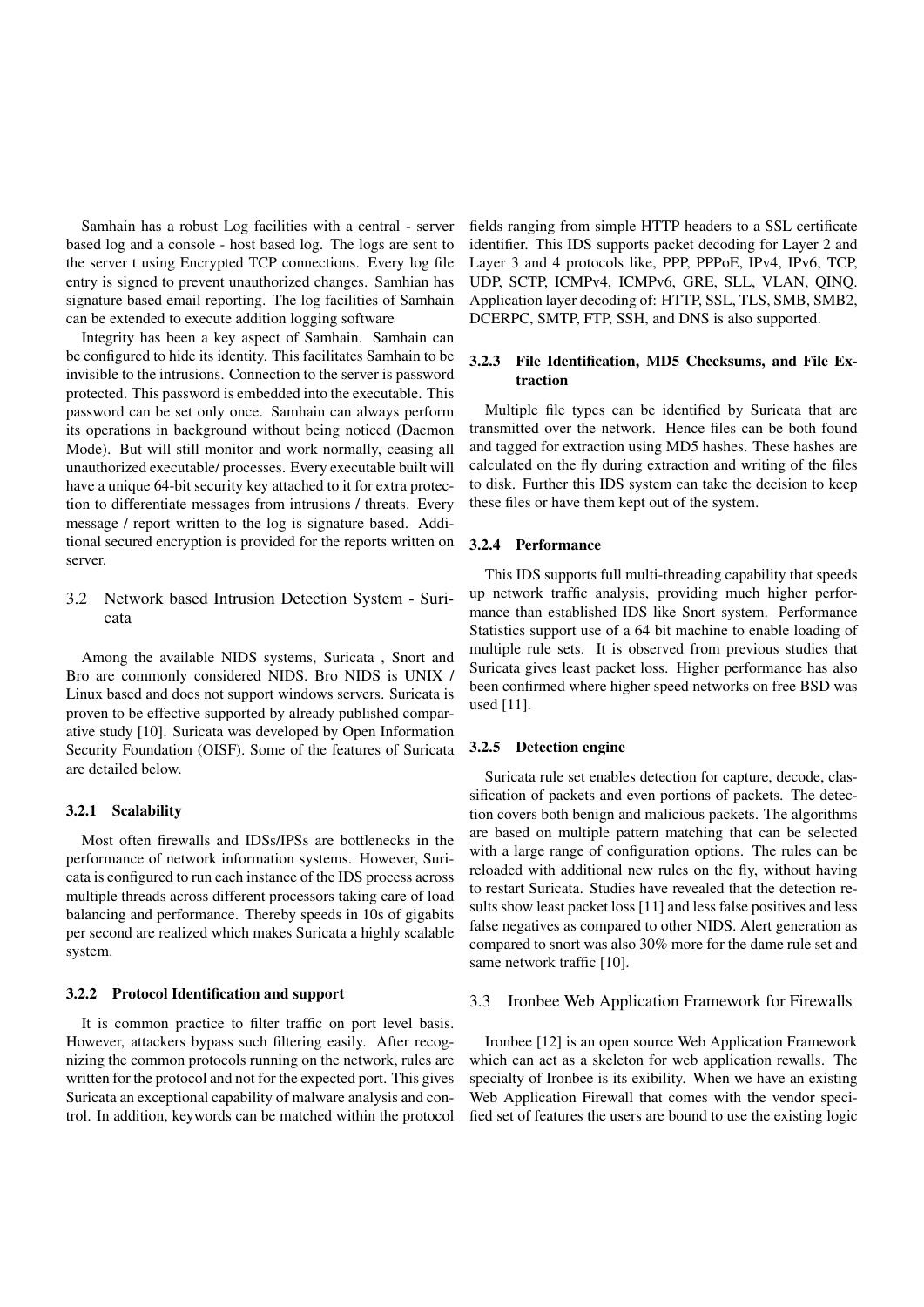Samhain has a robust Log facilities with a central - server based log and a console - host based log. The logs are sent to the server t using Encrypted TCP connections. Every log file entry is signed to prevent unauthorized changes. Samhian has signature based email reporting. The log facilities of Samhain can be extended to execute addition logging software

Integrity has been a key aspect of Samhain. Samhain can be configured to hide its identity. This facilitates Samhain to be invisible to the intrusions. Connection to the server is password protected. This password is embedded into the executable. This password can be set only once. Samhain can always perform its operations in background without being noticed (Daemon Mode). But will still monitor and work normally, ceasing all unauthorized executable/ processes. Every executable built will have a unique 64-bit security key attached to it for extra protection to differentiate messages from intrusions / threats. Every message / report written to the log is signature based. Additional secured encryption is provided for the reports written on server.

# 3.2 Network based Intrusion Detection System - Suricata

Among the available NIDS systems, Suricata , Snort and Bro are commonly considered NIDS. Bro NIDS is UNIX / Linux based and does not support windows servers. Suricata is proven to be effective supported by already published comparative study [10]. Suricata was developed by Open Information Security Foundation (OISF). Some of the features of Suricata are detailed below.

## 3.2.1 Scalability

Most often firewalls and IDSs/IPSs are bottlenecks in the performance of network information systems. However, Suricata is configured to run each instance of the IDS process across multiple threads across different processors taking care of load balancing and performance. Thereby speeds in 10s of gigabits per second are realized which makes Suricata a highly scalable system.

#### 3.2.2 Protocol Identification and support

It is common practice to filter traffic on port level basis. However, attackers bypass such filtering easily. After recognizing the common protocols running on the network, rules are written for the protocol and not for the expected port. This gives Suricata an exceptional capability of malware analysis and control. In addition, keywords can be matched within the protocol fields ranging from simple HTTP headers to a SSL certificate identifier. This IDS supports packet decoding for Layer 2 and Layer 3 and 4 protocols like, PPP, PPPoE, IPv4, IPv6, TCP, UDP, SCTP, ICMPv4, ICMPv6, GRE, SLL, VLAN, QINQ. Application layer decoding of: HTTP, SSL, TLS, SMB, SMB2, DCERPC, SMTP, FTP, SSH, and DNS is also supported.

# 3.2.3 File Identification, MD5 Checksums, and File Extraction

Multiple file types can be identified by Suricata that are transmitted over the network. Hence files can be both found and tagged for extraction using MD5 hashes. These hashes are calculated on the fly during extraction and writing of the files to disk. Further this IDS system can take the decision to keep these files or have them kept out of the system.

#### 3.2.4 Performance

This IDS supports full multi-threading capability that speeds up network traffic analysis, providing much higher performance than established IDS like Snort system. Performance Statistics support use of a 64 bit machine to enable loading of multiple rule sets. It is observed from previous studies that Suricata gives least packet loss. Higher performance has also been confirmed where higher speed networks on free BSD was used [11].

#### 3.2.5 Detection engine

Suricata rule set enables detection for capture, decode, classification of packets and even portions of packets. The detection covers both benign and malicious packets. The algorithms are based on multiple pattern matching that can be selected with a large range of configuration options. The rules can be reloaded with additional new rules on the fly, without having to restart Suricata. Studies have revealed that the detection results show least packet loss [11] and less false positives and less false negatives as compared to other NIDS. Alert generation as compared to snort was also 30% more for the dame rule set and same network traffic [10].

#### 3.3 Ironbee Web Application Framework for Firewalls

Ironbee [12] is an open source Web Application Framework which can act as a skeleton for web application rewalls. The specialty of Ironbee is its exibility. When we have an existing Web Application Firewall that comes with the vendor specified set of features the users are bound to use the existing logic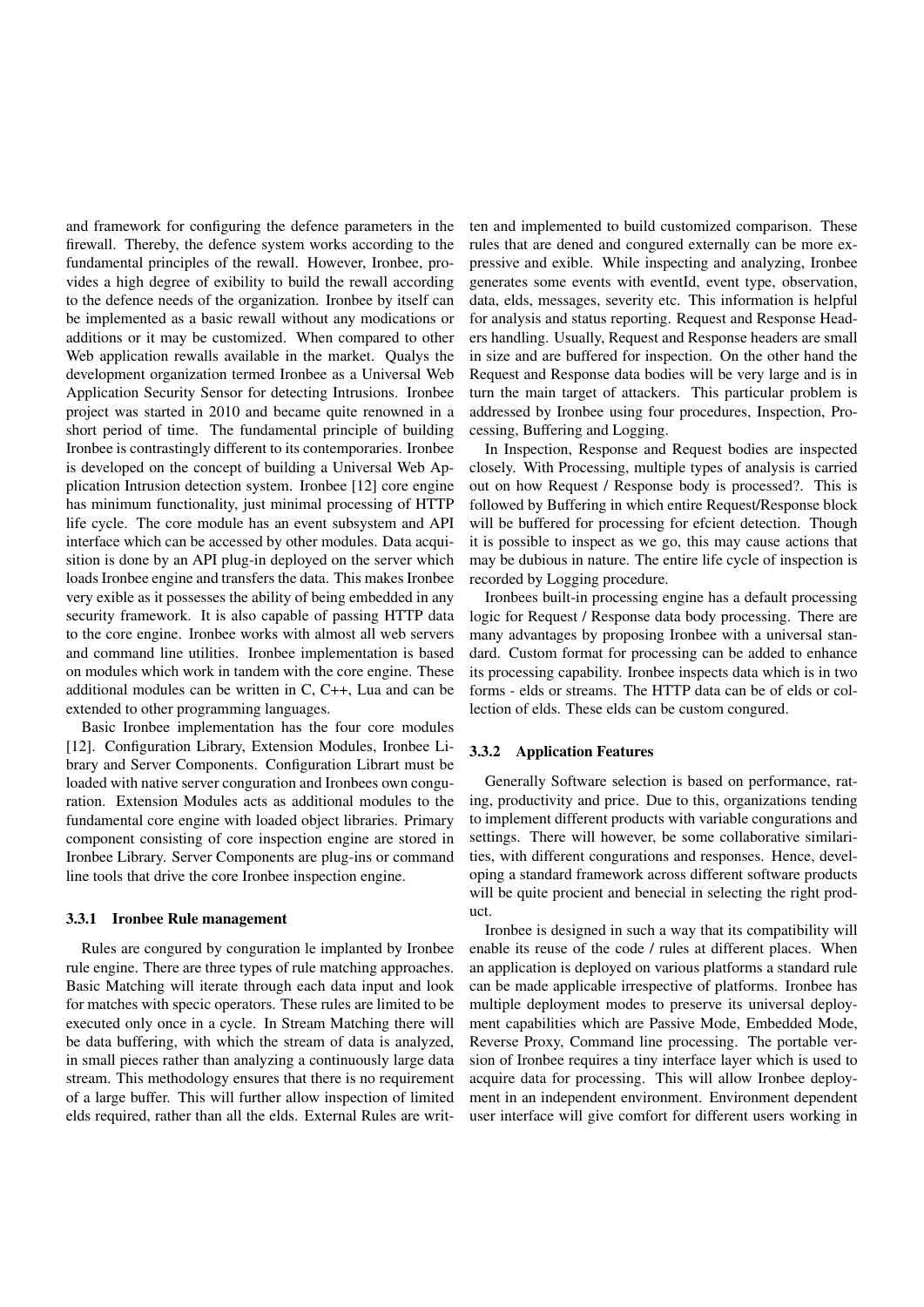and framework for configuring the defence parameters in the firewall. Thereby, the defence system works according to the fundamental principles of the rewall. However, Ironbee, provides a high degree of exibility to build the rewall according to the defence needs of the organization. Ironbee by itself can be implemented as a basic rewall without any modications or additions or it may be customized. When compared to other Web application rewalls available in the market. Qualys the development organization termed Ironbee as a Universal Web Application Security Sensor for detecting Intrusions. Ironbee project was started in 2010 and became quite renowned in a short period of time. The fundamental principle of building Ironbee is contrastingly different to its contemporaries. Ironbee is developed on the concept of building a Universal Web Application Intrusion detection system. Ironbee [12] core engine has minimum functionality, just minimal processing of HTTP life cycle. The core module has an event subsystem and API interface which can be accessed by other modules. Data acquisition is done by an API plug-in deployed on the server which loads Ironbee engine and transfers the data. This makes Ironbee very exible as it possesses the ability of being embedded in any security framework. It is also capable of passing HTTP data to the core engine. Ironbee works with almost all web servers and command line utilities. Ironbee implementation is based on modules which work in tandem with the core engine. These additional modules can be written in C, C++, Lua and can be extended to other programming languages.

Basic Ironbee implementation has the four core modules [12]. Configuration Library, Extension Modules, Ironbee Library and Server Components. Configuration Librart must be loaded with native server conguration and Ironbees own conguration. Extension Modules acts as additional modules to the fundamental core engine with loaded object libraries. Primary component consisting of core inspection engine are stored in Ironbee Library. Server Components are plug-ins or command line tools that drive the core Ironbee inspection engine.

#### 3.3.1 Ironbee Rule management

Rules are congured by conguration le implanted by Ironbee rule engine. There are three types of rule matching approaches. Basic Matching will iterate through each data input and look for matches with specic operators. These rules are limited to be executed only once in a cycle. In Stream Matching there will be data buffering, with which the stream of data is analyzed, in small pieces rather than analyzing a continuously large data stream. This methodology ensures that there is no requirement of a large buffer. This will further allow inspection of limited elds required, rather than all the elds. External Rules are written and implemented to build customized comparison. These rules that are dened and congured externally can be more expressive and exible. While inspecting and analyzing, Ironbee generates some events with eventId, event type, observation, data, elds, messages, severity etc. This information is helpful for analysis and status reporting. Request and Response Headers handling. Usually, Request and Response headers are small in size and are buffered for inspection. On the other hand the Request and Response data bodies will be very large and is in turn the main target of attackers. This particular problem is addressed by Ironbee using four procedures, Inspection, Processing, Buffering and Logging.

In Inspection, Response and Request bodies are inspected closely. With Processing, multiple types of analysis is carried out on how Request / Response body is processed?. This is followed by Buffering in which entire Request/Response block will be buffered for processing for efcient detection. Though it is possible to inspect as we go, this may cause actions that may be dubious in nature. The entire life cycle of inspection is recorded by Logging procedure.

Ironbees built-in processing engine has a default processing logic for Request / Response data body processing. There are many advantages by proposing Ironbee with a universal standard. Custom format for processing can be added to enhance its processing capability. Ironbee inspects data which is in two forms - elds or streams. The HTTP data can be of elds or collection of elds. These elds can be custom congured.

#### 3.3.2 Application Features

Generally Software selection is based on performance, rating, productivity and price. Due to this, organizations tending to implement different products with variable congurations and settings. There will however, be some collaborative similarities, with different congurations and responses. Hence, developing a standard framework across different software products will be quite procient and benecial in selecting the right product.

Ironbee is designed in such a way that its compatibility will enable its reuse of the code / rules at different places. When an application is deployed on various platforms a standard rule can be made applicable irrespective of platforms. Ironbee has multiple deployment modes to preserve its universal deployment capabilities which are Passive Mode, Embedded Mode, Reverse Proxy, Command line processing. The portable version of Ironbee requires a tiny interface layer which is used to acquire data for processing. This will allow Ironbee deployment in an independent environment. Environment dependent user interface will give comfort for different users working in